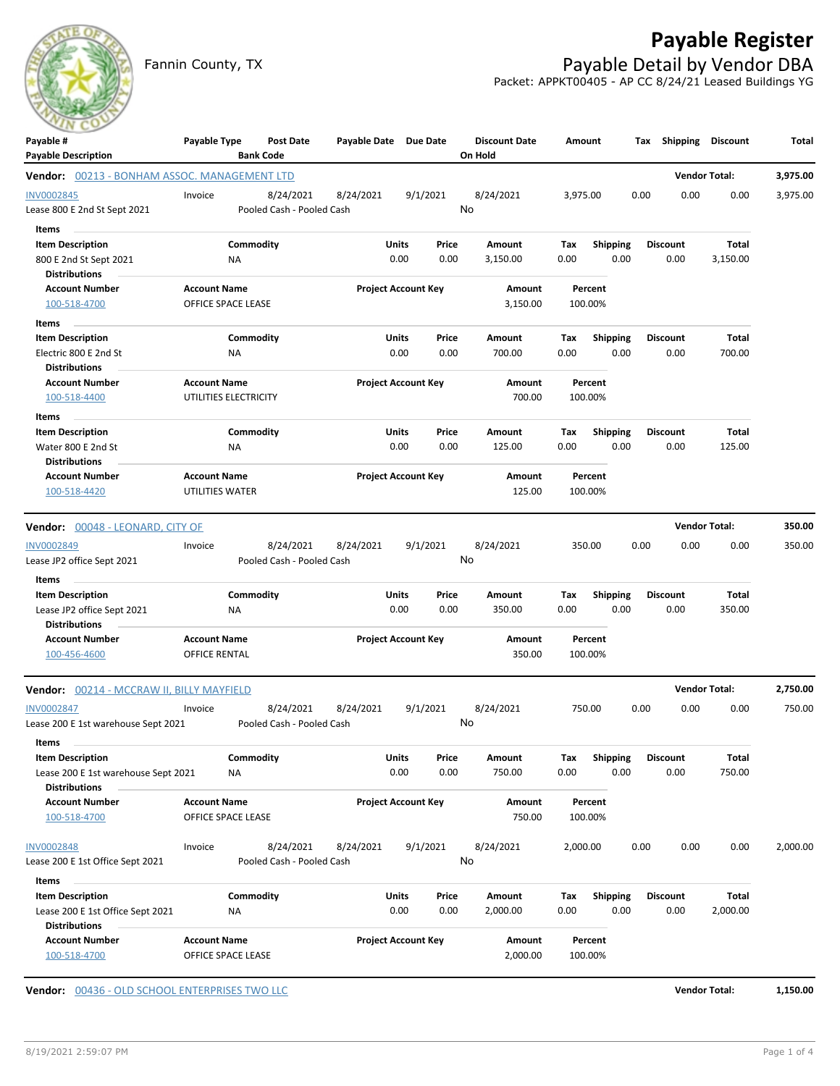## **Payable Register**

Fannin County, TX **Payable Detail by Vendor DBA** Packet: APPKT00405 - AP CC 8/24/21 Leased Buildings YG

| ___<br>Payable #                             | Payable Type                                 | <b>Post Date</b>          | Payable Date Due Date |                            | <b>Discount Date</b> | Amount   |                 | Shipping<br>Тах | <b>Discount</b>      | Total    |
|----------------------------------------------|----------------------------------------------|---------------------------|-----------------------|----------------------------|----------------------|----------|-----------------|-----------------|----------------------|----------|
| <b>Payable Description</b>                   |                                              | <b>Bank Code</b>          |                       |                            | On Hold              |          |                 |                 |                      |          |
| Vendor: 00213 - BONHAM ASSOC. MANAGEMENT LTD |                                              |                           |                       |                            |                      |          |                 |                 | <b>Vendor Total:</b> | 3,975.00 |
| INV0002845                                   | Invoice                                      | 8/24/2021                 | 8/24/2021             | 9/1/2021                   | 8/24/2021            | 3,975.00 |                 | 0.00            | 0.00<br>0.00         | 3,975.00 |
| Lease 800 E 2nd St Sept 2021                 |                                              | Pooled Cash - Pooled Cash |                       |                            | No                   |          |                 |                 |                      |          |
| Items                                        |                                              |                           |                       |                            |                      |          |                 |                 |                      |          |
| <b>Item Description</b>                      |                                              | Commodity                 | Units                 | Price                      | Amount               | Tax      | <b>Shipping</b> | <b>Discount</b> | Total                |          |
| 800 E 2nd St Sept 2021                       | ΝA                                           |                           |                       | 0.00<br>0.00               | 3,150.00             | 0.00     | 0.00            | 0.00            | 3,150.00             |          |
| <b>Distributions</b>                         |                                              |                           |                       |                            |                      |          |                 |                 |                      |          |
| <b>Account Number</b>                        | <b>Account Name</b>                          |                           |                       | <b>Project Account Key</b> | Amount               |          | Percent         |                 |                      |          |
| 100-518-4700                                 | OFFICE SPACE LEASE                           |                           |                       |                            | 3,150.00             | 100.00%  |                 |                 |                      |          |
| Items                                        |                                              |                           |                       |                            |                      |          |                 |                 |                      |          |
| <b>Item Description</b>                      |                                              | Commodity                 | Units                 | Price                      | Amount               | Тах      | <b>Shipping</b> | <b>Discount</b> | Total                |          |
| Electric 800 E 2nd St                        | ΝA                                           |                           |                       | 0.00<br>0.00               | 700.00               | 0.00     | 0.00            | 0.00            | 700.00               |          |
| <b>Distributions</b>                         |                                              |                           |                       |                            |                      |          |                 |                 |                      |          |
| <b>Account Number</b>                        | <b>Account Name</b><br>UTILITIES ELECTRICITY |                           |                       | <b>Project Account Key</b> | Amount<br>700.00     | 100.00%  | Percent         |                 |                      |          |
| 100-518-4400                                 |                                              |                           |                       |                            |                      |          |                 |                 |                      |          |
| Items                                        |                                              |                           |                       |                            |                      |          |                 |                 |                      |          |
| <b>Item Description</b>                      |                                              | Commodity                 | Units                 | Price                      | Amount               | Tax      | <b>Shipping</b> | <b>Discount</b> | Total                |          |
| Water 800 E 2nd St<br><b>Distributions</b>   | ΝA                                           |                           |                       | 0.00<br>0.00               | 125.00               | 0.00     | 0.00            | 0.00            | 125.00               |          |
| <b>Account Number</b>                        | <b>Account Name</b>                          |                           |                       | <b>Project Account Key</b> | Amount               |          | Percent         |                 |                      |          |
| 100-518-4420                                 | UTILITIES WATER                              |                           |                       |                            | 125.00               | 100.00%  |                 |                 |                      |          |
|                                              |                                              |                           |                       |                            |                      |          |                 |                 |                      |          |
| <b>Vendor:</b> 00048 - LEONARD, CITY OF      |                                              |                           |                       |                            |                      |          |                 |                 | <b>Vendor Total:</b> | 350.00   |
| <b>INV0002849</b>                            | Invoice                                      | 8/24/2021                 | 8/24/2021             | 9/1/2021                   | 8/24/2021            | 350.00   |                 | 0.00            | 0.00<br>0.00         | 350.00   |
| Lease JP2 office Sept 2021                   |                                              | Pooled Cash - Pooled Cash |                       |                            | No                   |          |                 |                 |                      |          |
| Items                                        |                                              |                           |                       |                            |                      |          |                 |                 |                      |          |
| <b>Item Description</b>                      |                                              | Commodity                 | Units                 | Price                      | Amount               | Tax      | <b>Shipping</b> | <b>Discount</b> | Total                |          |
| Lease JP2 office Sept 2021                   | <b>NA</b>                                    |                           |                       | 0.00<br>0.00               | 350.00               | 0.00     | 0.00            | 0.00            | 350.00               |          |
| <b>Distributions</b>                         |                                              |                           |                       |                            |                      |          |                 |                 |                      |          |
| <b>Account Number</b>                        | <b>Account Name</b>                          |                           |                       | <b>Project Account Key</b> | Amount               |          | Percent         |                 |                      |          |
| 100-456-4600                                 | OFFICE RENTAL                                |                           |                       |                            | 350.00               | 100.00%  |                 |                 |                      |          |
| Vendor: 00214 - MCCRAW II, BILLY MAYFIELD    |                                              |                           |                       |                            |                      |          |                 |                 | <b>Vendor Total:</b> | 2,750.00 |
| INV0002847                                   | Invoice                                      | 8/24/2021                 | 8/24/2021             | 9/1/2021                   | 8/24/2021            | 750.00   |                 | 0.00            | 0.00<br>0.00         | 750.00   |
| Lease 200 E 1st warehouse Sept 2021          |                                              | Pooled Cash - Pooled Cash |                       |                            | No                   |          |                 |                 |                      |          |
|                                              |                                              |                           |                       |                            |                      |          |                 |                 |                      |          |
| Items<br><b>Item Description</b>             |                                              | Commodity                 | Units                 | Price                      | Amount               | Tax      | <b>Shipping</b> | <b>Discount</b> | Total                |          |
| Lease 200 E 1st warehouse Sept 2021          | NA                                           |                           |                       | 0.00<br>0.00               | 750.00               | 0.00     | 0.00            | 0.00            | 750.00               |          |
| <b>Distributions</b>                         |                                              |                           |                       |                            |                      |          |                 |                 |                      |          |
| <b>Account Number</b>                        | <b>Account Name</b>                          |                           |                       | <b>Project Account Key</b> | Amount               |          | Percent         |                 |                      |          |
| 100-518-4700                                 | OFFICE SPACE LEASE                           |                           |                       |                            | 750.00               | 100.00%  |                 |                 |                      |          |
| <b>INV0002848</b>                            | Invoice                                      | 8/24/2021                 | 8/24/2021             | 9/1/2021                   | 8/24/2021            | 2,000.00 |                 | 0.00            | 0.00<br>0.00         | 2,000.00 |
| Lease 200 E 1st Office Sept 2021             |                                              | Pooled Cash - Pooled Cash |                       |                            | No                   |          |                 |                 |                      |          |
| Items                                        |                                              |                           |                       |                            |                      |          |                 |                 |                      |          |
| <b>Item Description</b>                      |                                              | Commodity                 | Units                 | Price                      | Amount               | Tax      | Shipping        | <b>Discount</b> | Total                |          |
| Lease 200 E 1st Office Sept 2021             | ΝA                                           |                           |                       | 0.00<br>0.00               | 2,000.00             | 0.00     | 0.00            | 0.00            | 2,000.00             |          |
|                                              |                                              |                           |                       |                            |                      |          |                 |                 |                      |          |
| <b>Distributions</b>                         |                                              |                           |                       |                            |                      |          |                 |                 |                      |          |
| <b>Account Number</b>                        | <b>Account Name</b>                          |                           |                       | <b>Project Account Key</b> | Amount               |          | Percent         |                 |                      |          |

**Vendor:** 00436 - OLD SCHOOL ENTERPRISES TWO LLC **Vendor Total: 1,150.00**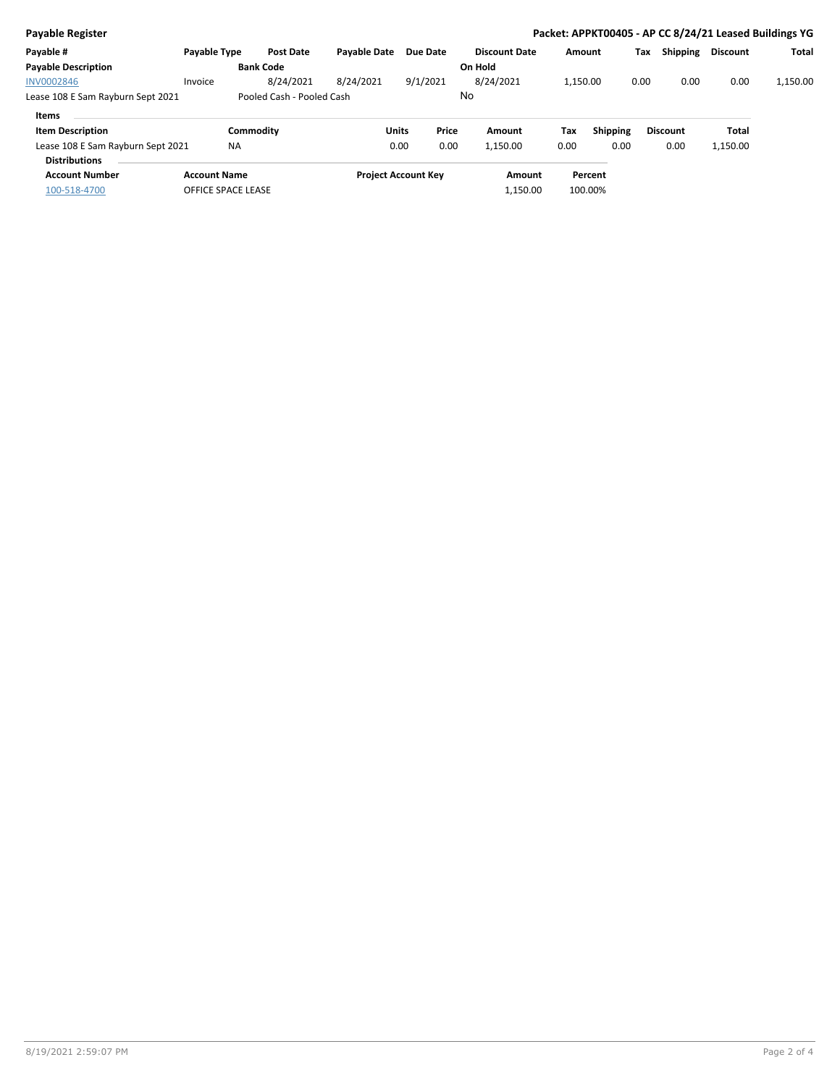| Payable Register                  |                     |                           |                     |                            |                      |          |                 |      |                 |                 | Packet: APPKT00405 - AP CC 8/24/21 Leased Buildings YG |
|-----------------------------------|---------------------|---------------------------|---------------------|----------------------------|----------------------|----------|-----------------|------|-----------------|-----------------|--------------------------------------------------------|
| Payable #                         | <b>Payable Type</b> | <b>Post Date</b>          | <b>Pavable Date</b> | Due Date                   | <b>Discount Date</b> | Amount   |                 | Tax  | Shipping        | <b>Discount</b> | Total                                                  |
| <b>Payable Description</b>        |                     | <b>Bank Code</b>          |                     |                            | On Hold              |          |                 |      |                 |                 |                                                        |
| <b>INV0002846</b>                 | Invoice             | 8/24/2021                 | 8/24/2021           | 9/1/2021                   | 8/24/2021            | 1.150.00 |                 | 0.00 | 0.00            | 0.00            | 1,150.00                                               |
| Lease 108 E Sam Rayburn Sept 2021 |                     | Pooled Cash - Pooled Cash |                     |                            | No                   |          |                 |      |                 |                 |                                                        |
| <b>Items</b>                      |                     |                           |                     |                            |                      |          |                 |      |                 |                 |                                                        |
| <b>Item Description</b>           |                     | Commodity                 |                     | Price<br><b>Units</b>      | Amount               | Tax      | <b>Shipping</b> |      | <b>Discount</b> | Total           |                                                        |
| Lease 108 E Sam Rayburn Sept 2021 |                     | <b>NA</b>                 |                     | 0.00<br>0.00               | 1,150.00             | 0.00     | 0.00            |      | 0.00            | 1,150.00        |                                                        |
| <b>Distributions</b>              |                     |                           |                     |                            |                      |          |                 |      |                 |                 |                                                        |
| <b>Account Number</b>             | <b>Account Name</b> |                           |                     | <b>Project Account Key</b> | Amount               |          | Percent         |      |                 |                 |                                                        |
| 100-518-4700                      | OFFICE SPACE LEASE  |                           |                     |                            | 1,150.00             |          | 100.00%         |      |                 |                 |                                                        |
|                                   |                     |                           |                     |                            |                      |          |                 |      |                 |                 |                                                        |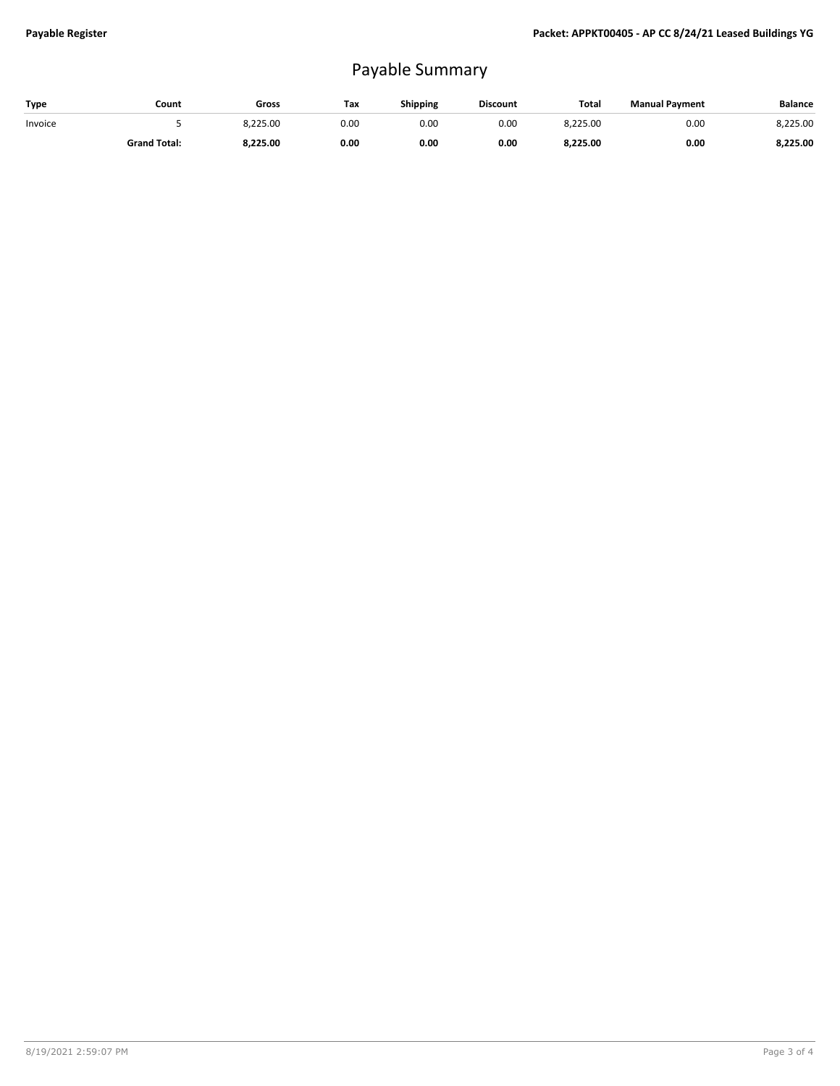## Payable Summary

| Type    | Count               | Gross    | Tax  | Shipping | <b>Discount</b> | <b>Total</b> | <b>Manual Payment</b> | <b>Balance</b> |
|---------|---------------------|----------|------|----------|-----------------|--------------|-----------------------|----------------|
| Invoice |                     | 8.225.00 | 0.00 | 0.00     | 0.00            | 8.225.00     | 0.00                  | 8.225.00       |
|         | <b>Grand Total:</b> | 8,225.00 | 0.00 | 0.00     | 0.00            | 8,225.00     | 0.00                  | 8,225.00       |